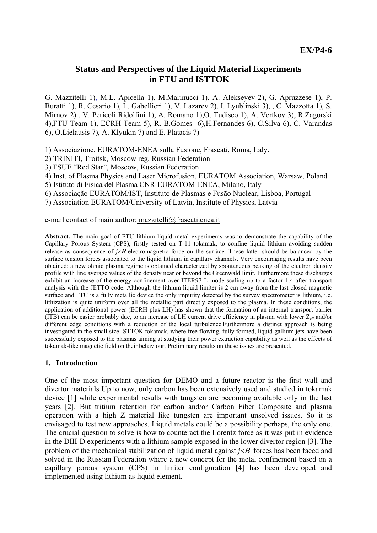# **Status and Perspectives of the Liquid Material Experiments in FTU and ISTTOK**

G. Mazzitelli 1), M.L. Apicella 1), M.Marinucci 1), A. Alekseyev 2), G. Apruzzese 1), P. Buratti 1), R. Cesario 1), L. Gabellieri 1), V. Lazarev 2), I. Lyublinski 3), , C. Mazzotta 1), S. Mirnov 2) , V. Pericoli Ridolfini 1), A. Romano 1),O. Tudisco 1), A. Vertkov 3), R.Zagorski 4),FTU Team 1), ECRH Team 5), R. B.Gomes 6),H.Fernandes 6), C.Silva 6), C. Varandas 6), O.Lielausis 7), A. Klyukin 7) and E. Platacis 7)

1) Associazione. EURATOM-ENEA sulla Fusione, Frascati, Roma, Italy.

- 2) TRINITI, Troitsk, Moscow reg, Russian Federation
- 3) FSUE "Red Star", Moscow, Russian Federation
- 4) Inst. of Plasma Physics and Laser Microfusion, EURATOM Association, Warsaw, Poland
- 5) Istituto di Fisica del Plasma CNR-EURATOM-ENEA, Milano, Italy
- 6) Associação EURATOM/IST, Instituto de Plasmas e Fusão Nuclear, Lisboa, Portugal

7) Association EURATOM/University of Latvia, Institute of Physics, Latvia

### e-mail contact of main author: mazzitelli@frascati.enea.it

**Abstract.** The main goal of FTU lithium liquid metal experiments was to demonstrate the capability of the Capillary Porous System (CPS), firstly tested on T-11 tokamak, to confine liquid lithium avoiding sudden release as consequence of *j*×Β electromagnetic force on the surface. These latter should be balanced by the surface tension forces associated to the liquid lithium in capillary channels. Very encouraging results have been obtained: a new ohmic plasma regime is obtained characterized by spontaneous peaking of the electron density profile with line average values of the density near or beyond the Greenwald limit. Furthermore these discharges exhibit an increase of the energy confinement over ITER97 L mode scaling up to a factor 1.4 after transport analysis with the JETTO code. Although the lithium liquid limiter is 2 cm away from the last closed magnetic surface and FTU is a fully metallic device the only impurity detected by the survey spectrometer is lithium, i.e. lithization is quite uniform over all the metallic part directly exposed to the plasma. In these conditions, the application of additional power (ECRH plus LH) has shown that the formation of an internal transport barrier (ITB) can be easier probably due, to an increase of LH current drive efficiency in plasma with lower  $Z_{\text{eff}}$  and/or different edge conditions with a reduction of the local turbulence. Furthermore a distinct approach is being investigated in the small size ISTTOK tokamak, where free flowing, fully formed, liquid gallium jets have been successfully exposed to the plasmas aiming at studying their power extraction capability as well as the effects of tokamak-like magnetic field on their behaviour. Preliminary results on these issues are presented.

### **1. Introduction**

One of the most important question for DEMO and a future reactor is the first wall and divertor materials Up to now, only carbon has been extensively used and studied in tokamak device [1] while experimental results with tungsten are becoming available only in the last years [2]. But tritium retention for carbon and/or Carbon Fiber Composite and plasma operation with a high Z material like tungsten are important unsolved issues. So it is envisaged to test new approaches. Liquid metals could be a possibility perhaps, the only one. The crucial question to solve is how to counteract the Lorentz force as it was put in evidence in the DIII-D experiments with a lithium sample exposed in the lower divertor region [3]. The problem of the mechanical stabilization of liquid metal against *j*×*B* forces has been faced and solved in the Russian Federation where a new concept for the metal confinement based on a capillary porous system (CPS) in limiter configuration [4] has been developed and implemented using lithium as liquid element.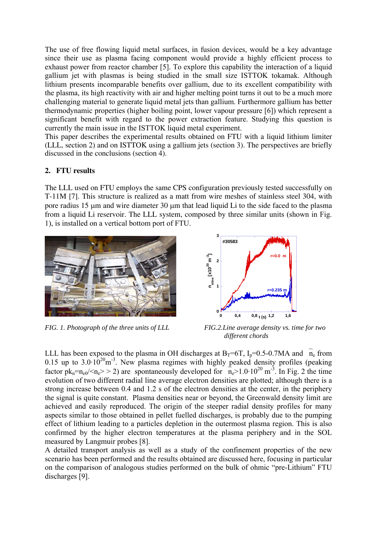The use of free flowing liquid metal surfaces, in fusion devices, would be a key advantage since their use as plasma facing component would provide a highly efficient process to exhaust power from reactor chamber [5]. To explore this capability the interaction of a liquid gallium jet with plasmas is being studied in the small size ISTTOK tokamak. Although lithium presents incomparable benefits over gallium, due to its excellent compatibility with the plasma, its high reactivity with air and higher melting point turns it out to be a much more challenging material to generate liquid metal jets than gallium. Furthermore gallium has better thermodynamic properties (higher boiling point, lower vapour pressure [6]) which represent a significant benefit with regard to the power extraction feature. Studying this question is currently the main issue in the ISTTOK liquid metal experiment.

This paper describes the experimental results obtained on FTU with a liquid lithium limiter (LLL, section 2) and on ISTTOK using a gallium jets (section 3). The perspectives are briefly discussed in the conclusions (section 4).

# **2. FTU results**

The LLL used on FTU employs the same CPS configuration previously tested successfully on T-11M [7]. This structure is realized as a matt from wire meshes of stainless steel 304, with pore radius 15 μm and wire diameter 30 μm that lead liquid Li to the side faced to the plasma from a liquid Li reservoir. The LLL system, composed by three similar units (shown in Fig. 1), is installed on a vertical bottom port of FTU.



*FIG. 1. Photograph of the three units of LLL FIG.2.Line average density vs. time for two* 



 *different chords* 

LLL has been exposed to the plasma in OH discharges at  $B_T=6T$ ,  $I_p=0.5-0.7MA$  and  $\bar{n}_e$  from 0.15 up to  $3.0 \cdot 10^{20}$ m<sup>-3</sup>. New plasma regimes with highly peaked density profiles (peaking factor  $pk_n=n_{e0}/< n_e$ >>2) are spontaneously developed for  $n_e>1.0.10^{20}$  m<sup>-3</sup>. In Fig. 2 the time evolution of two different radial line average electron densities are plotted; although there is a strong increase between 0.4 and 1.2 s of the electron densities at the center, in the periphery the signal is quite constant. Plasma densities near or beyond, the Greenwald density limit are achieved and easily reproduced. The origin of the steeper radial density profiles for many aspects similar to those obtained in pellet fuelled discharges, is probably due to the pumping effect of lithium leading to a particles depletion in the outermost plasma region. This is also confirmed by the higher electron temperatures at the plasma periphery and in the SOL measured by Langmuir probes [8].

A detailed transport analysis as well as a study of the confinement properties of the new scenario has been performed and the results obtained are discussed here, focusing in particular on the comparison of analogous studies performed on the bulk of ohmic "pre-Lithium" FTU discharges [9].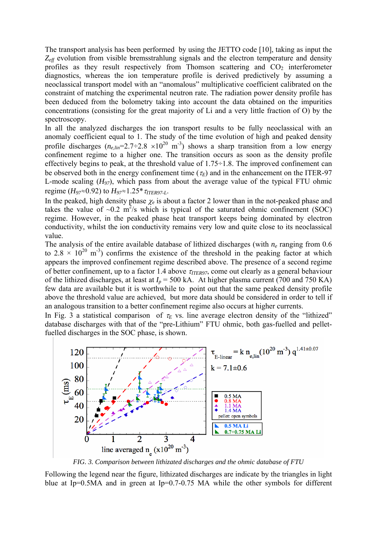The transport analysis has been performed by using the JETTO code [10], taking as input the *Zeff* evolution from visible bremsstrahlung signals and the electron temperature and density profiles as they result respectively from Thomson scattering and  $CO<sub>2</sub>$  interferometer diagnostics, whereas the ion temperature profile is derived predictively by assuming a neoclassical transport model with an "anomalous" multiplicative coefficient calibrated on the constraint of matching the experimental neutron rate. The radiation power density profile has been deduced from the bolometry taking into account the data obtained on the impurities concentrations (consisting for the great majority of Li and a very little fraction of O) by the spectroscopy.

In all the analyzed discharges the ion transport results to be fully neoclassical with an anomaly coefficient equal to 1. The study of the time evolution of high and peaked density profile discharges  $(n_{e,lin} = 2.7 \div 2.8 \times 10^{20} \text{ m}^3)$  shows a sharp transition from a low energy confinement regime to a higher one. The transition occurs as soon as the density profile effectively begins to peak, at the threshold value of  $1.75 \div 1.8$ . The improved confinement can be observed both in the energy confinement time  $(\tau_E)$  and in the enhancement on the ITER-97 L-mode scaling (*H97*), which pass from about the average value of the typical FTU ohmic regime (*H97*≈0.92) to *H97*≈1.25\*<sup>τ</sup>*ITER97-L*.

In the peaked, high density phase  $\chi_e$  is about a factor 2 lower than in the not-peaked phase and takes the value of  $\sim 0.2$  m<sup>2</sup>/s which is typical of the saturated ohmic confinement (SOC) regime. However, in the peaked phase heat transport keeps being dominated by electron conductivity, whilst the ion conductivity remains very low and quite close to its neoclassical value.

The analysis of the entire available database of lithized discharges (with  $n_e$  ranging from 0.6 to 2.8  $\times$  10<sup>20</sup> m<sup>-3</sup>) confirms the existence of the threshold in the peaking factor at which appears the improved confinement regime described above. The presence of a second regime of better confinement, up to a factor 1.4 above *τ<sub>ITER97*</sub>, come out clearly as a general behaviour of the lithized discharges, at least at  $I_p = 500$  kA. At higher plasma current (700 and 750 KA) few data are available but it is worthwhile to point out that the same peaked density profile above the threshold value are achieved, but more data should be considered in order to tell if an analogous transition to a better confinement regime also occurs at higher currents.

In Fig. 3 a statistical comparison of  $\tau_E$  vs. line average electron density of the "lithized" database discharges with that of the "pre-Lithium" FTU ohmic, both gas-fuelled and pelletfuelled discharges in the SOC phase, is shown.



*FIG. 3. Comparison between lithizated discharges and the ohmic database of FTU*

Following the legend near the figure, lithizated discharges are indicate by the triangles in light blue at Ip=0.5MA and in green at Ip=0.7-0.75 MA while the other symbols for different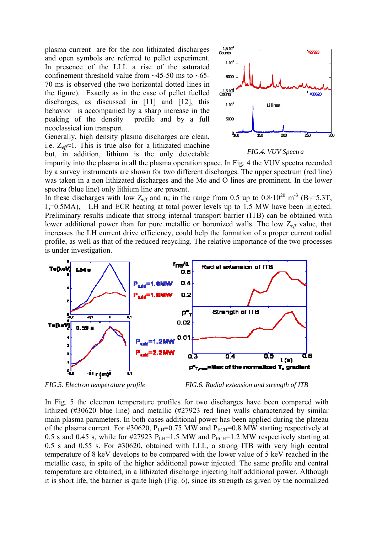plasma current are for the non lithizated discharges and open symbols are referred to pellet experiment. In presence of the LLL a rise of the saturated confinement threshold value from  $\sim$ 45-50 ms to  $\sim$ 65-70 ms is observed (the two horizontal dotted lines in the figure). Exactly as in the case of pellet fuelled discharges, as discussed in [11] and [12], this behavior is accompanied by a sharp increase in the peaking of the density profile and by a full neoclassical ion transport.

Generally, high density plasma discharges are clean, i.e.  $Z_{\text{eff}} \approx 1$ . This is true also for a lithizated machine but, in addition, lithium is the only detectable



*FIG.4. VUV Spectra*

impurity into the plasma in all the plasma operation space. In Fig. 4 the VUV spectra recorded by a survey instruments are shown for two different discharges. The upper spectrum (red line) was taken in a non lithizated discharges and the Mo and O lines are prominent. In the lower spectra (blue line) only lithium line are present.

In these discharges with low  $Z_{\text{eff}}$  and  $n_e$  in the range from 0.5 up to 0.8·10<sup>20</sup> m<sup>-3</sup> (B<sub>T</sub>=5.3T, Ip=0.5MA), LH and ECR heating at total power levels up to 1.5 MW have been injected. Preliminary results indicate that strong internal transport barrier (ITB) can be obtained with lower additional power than for pure metallic or boronized walls. The low Z*eff* value, that increases the LH current drive efficiency, could help the formation of a proper current radial profile, as well as that of the reduced recycling. The relative importance of the two processes is under investigation.



*FIG.5. Electron temperature profile FIG.6. Radial extension and strength of ITB* 

In Fig. 5 the electron temperature profiles for two discharges have been compared with lithized (#30620 blue line) and metallic (#27923 red line) walls characterized by similar main plasma parameters. In both cases additional power has been applied during the plateau of the plasma current. For #30620,  $P_{LH}$ =0.75 MW and  $P_{ECH}$ =0.8 MW starting respectively at 0.5 s and 0.45 s, while for #27923  $P<sub>LH</sub>=1.5$  MW and  $P<sub>ECH</sub>=1.2$  MW respectively starting at 0.5 s and 0.55 s. For #30620, obtained with LLL, a strong ITB with very high central temperature of 8 keV develops to be compared with the lower value of 5 keV reached in the metallic case, in spite of the higher additional power injected. The same profile and central temperature are obtained, in a lithizated discharge injecting half additional power. Although it is short life, the barrier is quite high (Fig. 6), since its strength as given by the normalized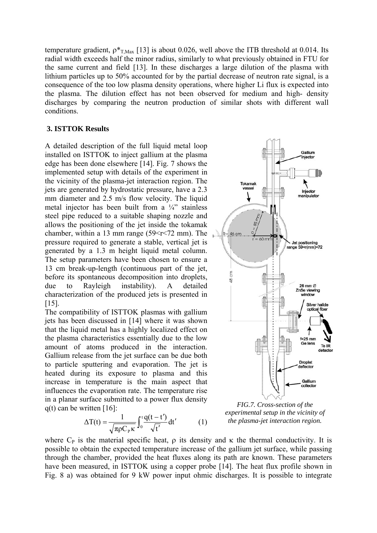temperature gradient,  $p_{T,Max}$  [13] is about 0.026, well above the ITB threshold at 0.014. Its radial width exceeds half the minor radius, similarly to what previously obtained in FTU for the same current and field [13]. In these discharges a large dilution of the plasma with lithium particles up to 50% accounted for by the partial decrease of neutron rate signal, is a consequence of the too low plasma density operations, where higher Li flux is expected into the plasma. The dilution effect has not been observed for medium and high- density discharges by comparing the neutron production of similar shots with different wall conditions.

### **3. ISTTOK Results**

A detailed description of the full liquid metal loop installed on ISTTOK to inject gallium at the plasma edge has been done elsewhere [14]. Fig. 7 shows the implemented setup with details of the experiment in the vicinity of the plasma-jet interaction region. The jets are generated by hydrostatic pressure, have a 2.3 mm diameter and  $2.5$  m/s flow velocity. The liquid metal injector has been built from a ¼" stainless steel pipe reduced to a suitable shaping nozzle and allows the positioning of the jet inside the tokamak chamber, within a 13 mm range  $(59\le r \le 72 \text{ mm})$ . The pressure required to generate a stable, vertical jet is generated by a 1.3 m height liquid metal column. The setup parameters have been chosen to ensure a 13 cm break-up-length (continuous part of the jet, before its spontaneous decomposition into droplets, due to Rayleigh instability). A detailed characterization of the produced jets is presented in [15].

The compatibility of ISTTOK plasmas with gallium jets has been discussed in [14] where it was shown that the liquid metal has a highly localized effect on the plasma characteristics essentially due to the low amount of atoms produced in the interaction. Gallium release from the jet surface can be due both to particle sputtering and evaporation. The jet is heated during its exposure to plasma and this increase in temperature is the main aspect that influences the evaporation rate. The temperature rise in a planar surface submitted to a power flux density q(t) can be written [16]: *FIG.7. Cross-section of the* 

$$
\Delta T(t) = \frac{1}{\sqrt{\pi \rho C_{p} \kappa}} \int_{0}^{t} \frac{q(t - t')}{\sqrt{t'}} dt' \tag{1}
$$



*experimental setup in the vicinity of the plasma-jet interaction region.* ′

where  $C_P$  is the material specific heat,  $\rho$  its density and  $\kappa$  the thermal conductivity. It is possible to obtain the expected temperature increase of the gallium jet surface, while passing through the chamber, provided the heat fluxes along its path are known. These parameters have been measured, in ISTTOK using a copper probe [14]. The heat flux profile shown in Fig. 8 a) was obtained for 9 kW power input ohmic discharges. It is possible to integrate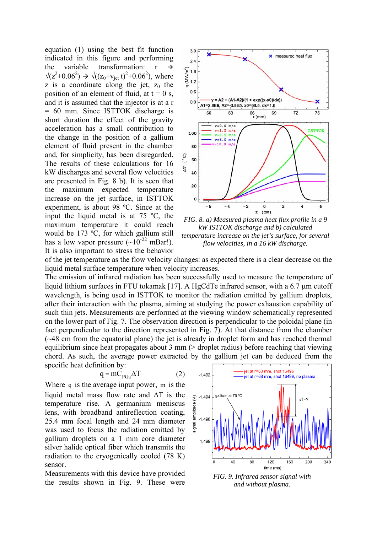equation (1) using the best fit function indicated in this figure and performing the variable transformation:  $r \rightarrow$  $\sqrt{(z^2+0.06^2)} \rightarrow \sqrt{((z_0+v_{jet}t)^2+0.06^2)}$ , where z is a coordinate along the jet,  $z_0$  the position of an element of fluid, at  $t = 0$  s, and it is assumed that the injector is at a r = 60 mm. Since ISTTOK discharge is short duration the effect of the gravity acceleration has a small contribution to the change in the position of a gallium element of fluid present in the chamber and, for simplicity, has been disregarded. The results of these calculations for 16 kW discharges and several flow velocities are presented in Fig. 8 b). It is seen that the maximum expected temperature increase on the jet surface, in ISTTOK experiment, is about 98 ºC. Since at the input the liquid metal is at 75 ºC, the maximum temperature it could reach would be 173 ºC, for which gallium still has a low vapor pressure  $({\sim}10^{-22} \text{ mBar}!)$ . It is also important to stress the behavior



*FIG. 8. a) Measured plasma heat flux profile in a 9 kW ISTTOK discharge and b) calculated temperature increase on the jet's surface, for several flow velocities, in a 16 kW discharge.*

of the jet temperature as the flow velocity changes: as expected there is a clear decrease on the liquid metal surface temperature when velocity increases.

The emission of infrared radiation has been successfully used to measure the temperature of liquid lithium surfaces in FTU tokamak [17]. A HgCdTe infrared sensor, with a 6.7 μm cutoff wavelength, is being used in ISTTOK to monitor the radiation emitted by gallium droplets, after their interaction with the plasma, aiming at studying the power exhaustion capability of such thin jets. Measurements are performed at the viewing window schematically represented on the lower part of Fig. 7. The observation direction is perpendicular to the poloidal plane (in fact perpendicular to the direction represented in Fig. 7). At that distance from the chamber (~48 cm from the equatorial plane) the jet is already in droplet form and has reached thermal equilibrium since heat propagates about 3 mm (> droplet radius) before reaching that viewing chord. As such, the average power extracted by the gallium jet can be deduced from the specific heat definition by:

$$
\overline{q} = \overline{m} C_{PGa} \Delta T \tag{2}
$$

Where  $\bar{q}$  is the average input power,  $\bar{m}$  is the liquid metal mass flow rate and  $\Delta T$  is the temperature rise. A germanium meniscus lens, with broadband antireflection coating, 25.4 mm focal length and 24 mm diameter was used to focus the radiation emitted by gallium droplets on a 1 mm core diameter silver halide optical fiber which transmits the radiation to the cryogenically cooled (78 K) sensor.

Measurements with this device have provided the results shown in Fig. 9. These were



*FIG. 9. Infrared sensor signal with and without plasma.*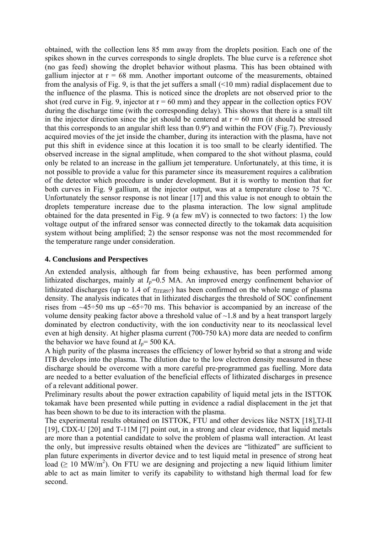obtained, with the collection lens 85 mm away from the droplets position. Each one of the spikes shown in the curves corresponds to single droplets. The blue curve is a reference shot (no gas feed) showing the droplet behavior without plasma. This has been obtained with gallium injector at  $r = 68$  mm. Another important outcome of the measurements, obtained from the analysis of Fig. 9, is that the jet suffers a small (<10 mm) radial displacement due to the influence of the plasma. This is noticed since the droplets are not observed prior to the shot (red curve in Fig. 9, injector at  $r = 60$  mm) and they appear in the collection optics FOV during the discharge time (with the corresponding delay). This shows that there is a small tilt in the injector direction since the jet should be centered at  $r = 60$  mm (it should be stressed that this corresponds to an angular shift less than 0.9º) and within the FOV (Fig.7). Previously acquired movies of the jet inside the chamber, during its interaction with the plasma, have not put this shift in evidence since at this location it is too small to be clearly identified. The observed increase in the signal amplitude, when compared to the shot without plasma, could only be related to an increase in the gallium jet temperature. Unfortunately, at this time, it is not possible to provide a value for this parameter since its measurement requires a calibration of the detector which procedure is under development. But it is worthy to mention that for both curves in Fig. 9 gallium, at the injector output, was at a temperature close to 75 ºC. Unfortunately the sensor response is not linear [17] and this value is not enough to obtain the droplets temperature increase due to the plasma interaction. The low signal amplitude obtained for the data presented in Fig. 9 (a few mV) is connected to two factors: 1) the low voltage output of the infrared sensor was connected directly to the tokamak data acquisition system without being amplified; 2) the sensor response was not the most recommended for the temperature range under consideration.

## **4. Conclusions and Perspectives**

An extended analysis, although far from being exhaustive, has been performed among lithizated discharges, mainly at  $I_p=0.5$  MA. An improved energy confinement behavior of lithizated discharges (up to 1.4 of  $\tau_{TFR97}$ ) has been confirmed on the whole range of plasma density. The analysis indicates that in lithizated discharges the threshold of SOC confinement rises from  $\sim$ 45÷50 ms up  $\sim$ 65÷70 ms. This behavior is accompanied by an increase of the volume density peaking factor above a threshold value of  $\sim$ 1.8 and by a heat transport largely dominated by electron conductivity, with the ion conductivity near to its neoclassical level even at high density. At higher plasma current (700-750 kA) more data are needed to confirm the behavior we have found at  $I_p$ = 500 KA.

A high purity of the plasma increases the efficiency of lower hybrid so that a strong and wide ITB develops into the plasma. The dilution due to the low electron density measured in these discharge should be overcome with a more careful pre-programmed gas fuelling. More data are needed to a better evaluation of the beneficial effects of lithizated discharges in presence of a relevant additional power.

Preliminary results about the power extraction capability of liquid metal jets in the ISTTOK tokamak have been presented while putting in evidence a radial displacement in the jet that has been shown to be due to its interaction with the plasma.

The experimental results obtained on ISTTOK, FTU and other devices like NSTX [18],TJ-II [19], CDX-U [20] and T-11M [7] point out, in a strong and clear evidence, that liquid metals are more than a potential candidate to solve the problem of plasma wall interaction. At least the only, but impressive results obtained when the devices are "lithizated" are sufficient to plan future experiments in divertor device and to test liquid metal in presence of strong heat load ( $\geq$  10 MW/m<sup>2</sup>). On FTU we are designing and projecting a new liquid lithium limiter able to act as main limiter to verify its capability to withstand high thermal load for few second.